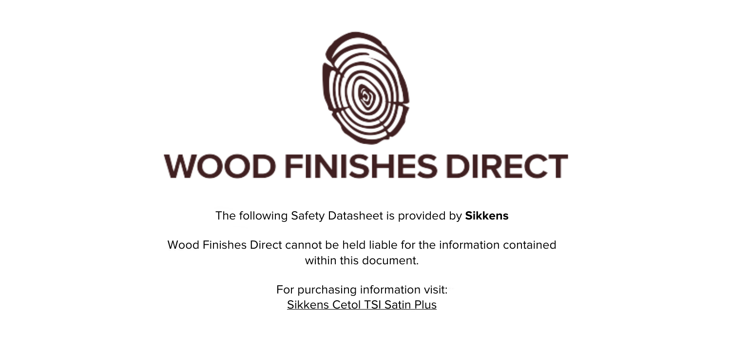

The following Safety Datasheet is provided by **Sikkens**

Wood Finishes Direct cannot be held liable for the information contained within this document.

> For purchasing information visit: [Sikkens Cetol TSI Satin Plus](https://www.wood-finishes-direct.com/product/sikkens-cetol-tsi-satin-plus)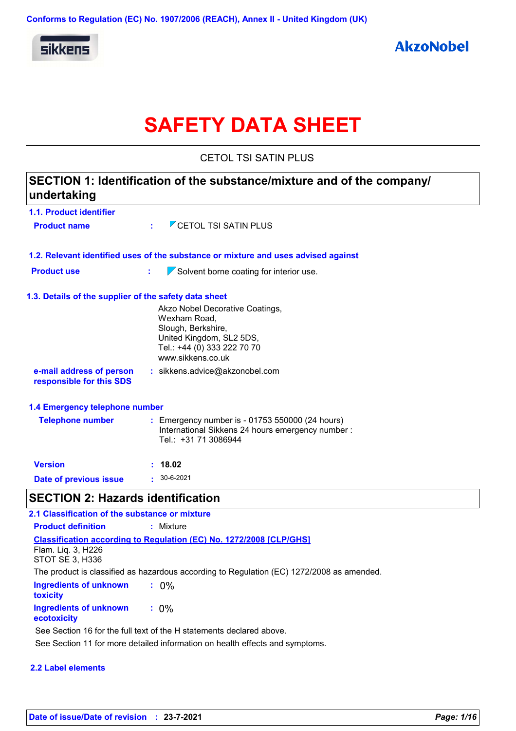

# **SAFETY DATA SHEET**

CETOL TSI SATIN PLUS

| undertaking                                           | SECTION 1: Identification of the substance/mixture and of the company/                                                      |
|-------------------------------------------------------|-----------------------------------------------------------------------------------------------------------------------------|
| 1.1. Product identifier                               |                                                                                                                             |
| <b>Product name</b>                                   | $\overline{V}$ CETOL TSI SATIN PLUS                                                                                         |
|                                                       | 1.2. Relevant identified uses of the substance or mixture and uses advised against                                          |
| <b>Product use</b>                                    | $\sqrt{\ }$ Solvent borne coating for interior use.<br>t                                                                    |
| 1.3. Details of the supplier of the safety data sheet |                                                                                                                             |
|                                                       | Akzo Nobel Decorative Coatings,                                                                                             |
|                                                       | Wexham Road,                                                                                                                |
|                                                       | Slough, Berkshire,<br>United Kingdom, SL2 5DS,                                                                              |
|                                                       | Tel.: +44 (0) 333 222 70 70                                                                                                 |
|                                                       | www.sikkens.co.uk                                                                                                           |
| e-mail address of person<br>responsible for this SDS  | : sikkens.advice@akzonobel.com                                                                                              |
| 1.4 Emergency telephone number                        |                                                                                                                             |
| <b>Telephone number</b>                               | : Emergency number is - 01753 550000 (24 hours)<br>International Sikkens 24 hours emergency number:<br>Tel.: +31 71 3086944 |
| <b>Version</b>                                        | : 18.02                                                                                                                     |
| Date of previous issue                                | $\cdot$ 30-6-2021                                                                                                           |
| <b>SECTION 2: Hazards identification</b>              |                                                                                                                             |
| 2.1 Classification of the substance or mixture        |                                                                                                                             |
| <b>Product definition</b>                             | : Mixture                                                                                                                   |
|                                                       | <b>Classification according to Regulation (EC) No. 1272/2008 [CLP/GHS]</b>                                                  |
| Flam. Liq. 3, H226                                    |                                                                                                                             |
| <b>STOT SE 3, H336</b>                                |                                                                                                                             |
|                                                       | The product is classified as hazardous according to Regulation (EC) 1272/2008 as amended.                                   |
| <b>Ingredients of unknown</b><br>toxicity             | $: 0\%$                                                                                                                     |
| <b>Ingredients of unknown</b><br>ecotoxicity          | $: 0\%$                                                                                                                     |
|                                                       | See Section 16 for the full text of the H statements declared above.                                                        |

See Section 11 for more detailed information on health effects and symptoms.

#### **2.2 Label elements**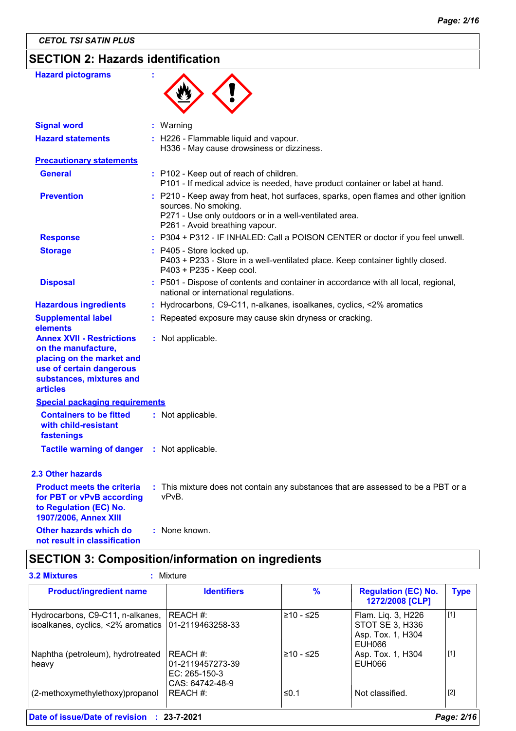## **SECTION 2: Hazards identification**

| <b>Hazard pictograms</b>                                                                                                                                        |                                                                                                                                                                                                        |
|-----------------------------------------------------------------------------------------------------------------------------------------------------------------|--------------------------------------------------------------------------------------------------------------------------------------------------------------------------------------------------------|
| <b>Signal word</b>                                                                                                                                              | : Warning                                                                                                                                                                                              |
| <b>Hazard statements</b>                                                                                                                                        | : H226 - Flammable liquid and vapour.<br>H336 - May cause drowsiness or dizziness.                                                                                                                     |
| <b>Precautionary statements</b>                                                                                                                                 |                                                                                                                                                                                                        |
| <b>General</b>                                                                                                                                                  | : P102 - Keep out of reach of children.<br>P101 - If medical advice is needed, have product container or label at hand.                                                                                |
| <b>Prevention</b>                                                                                                                                               | : P210 - Keep away from heat, hot surfaces, sparks, open flames and other ignition<br>sources. No smoking.<br>P271 - Use only outdoors or in a well-ventilated area.<br>P261 - Avoid breathing vapour. |
| <b>Response</b>                                                                                                                                                 | : P304 + P312 - IF INHALED: Call a POISON CENTER or doctor if you feel unwell.                                                                                                                         |
| <b>Storage</b>                                                                                                                                                  | : P405 - Store locked up.<br>P403 + P233 - Store in a well-ventilated place. Keep container tightly closed.<br>P403 + P235 - Keep cool.                                                                |
| <b>Disposal</b>                                                                                                                                                 | : P501 - Dispose of contents and container in accordance with all local, regional,<br>national or international regulations.                                                                           |
| <b>Hazardous ingredients</b>                                                                                                                                    | : Hydrocarbons, C9-C11, n-alkanes, isoalkanes, cyclics, <2% aromatics                                                                                                                                  |
| <b>Supplemental label</b><br>elements                                                                                                                           | : Repeated exposure may cause skin dryness or cracking.                                                                                                                                                |
| <b>Annex XVII - Restrictions</b><br>on the manufacture,<br>placing on the market and<br>use of certain dangerous<br>substances, mixtures and<br><b>articles</b> | : Not applicable.                                                                                                                                                                                      |
| <b>Special packaging requirements</b>                                                                                                                           |                                                                                                                                                                                                        |
| <b>Containers to be fitted</b><br>with child-resistant<br>fastenings                                                                                            | : Not applicable.                                                                                                                                                                                      |
| <b>Tactile warning of danger</b>                                                                                                                                | : Not applicable.                                                                                                                                                                                      |
| 2.3 Other hazards                                                                                                                                               |                                                                                                                                                                                                        |
| <b>Product meets the criteria</b><br>for PBT or vPvB according<br>to Regulation (EC) No.<br>1907/2006, Annex XIII                                               | : This mixture does not contain any substances that are assessed to be a PBT or a<br>vPvB.                                                                                                             |
| Other hazards which do<br>not result in classification                                                                                                          | : None known.                                                                                                                                                                                          |

## **SECTION 3: Composition/information on ingredients**

| <b>Product/ingredient name</b>                                                                     | <b>Identifiers</b>                                                  | $\frac{9}{6}$ | <b>Regulation (EC) No.</b><br>1272/2008 [CLP]                               | <b>Type</b> |
|----------------------------------------------------------------------------------------------------|---------------------------------------------------------------------|---------------|-----------------------------------------------------------------------------|-------------|
| Hydrocarbons, C9-C11, n-alkanes, REACH #:<br>isoalkanes, cyclics, <2% aromatics   01-2119463258-33 |                                                                     | $≥10 - ≤25$   | Flam. Liq. 3, H226<br>STOT SE 3, H336<br>Asp. Tox. 1, H304<br><b>EUH066</b> | [1]         |
| Naphtha (petroleum), hydrotreated<br>heavy                                                         | IREACH #:<br>01-2119457273-39<br>EC: $265-150-3$<br>CAS: 64742-48-9 | l≥10 - ≤25    | Asp. Tox. 1, H304<br>EUH066                                                 | $\vert$ [1] |
| (2-methoxymethylethoxy)propanol                                                                    | REACH #:                                                            | ≤0.1          | Not classified.                                                             | $[2]$       |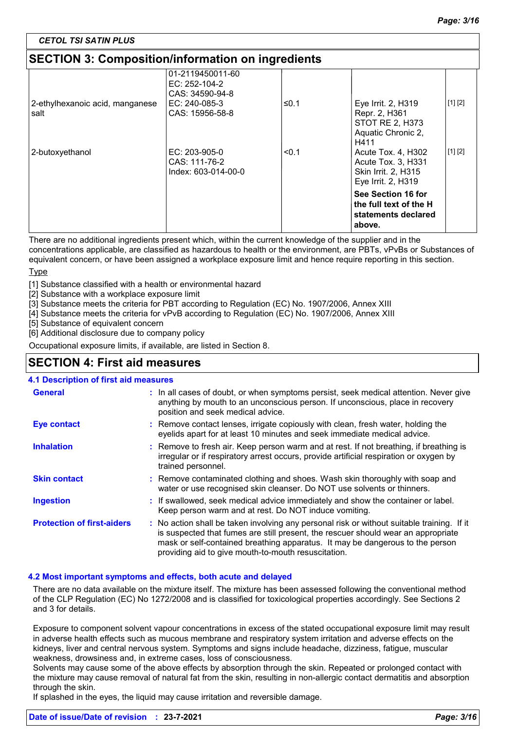*CETOL TSI SATIN PLUS*

## **SECTION 3: Composition/information on ingredients**

|                                         | 01-2119450011-60<br>EC: $252-104-2$<br>CAS: 34590-94-8 |       |                                                                                             |         |
|-----------------------------------------|--------------------------------------------------------|-------|---------------------------------------------------------------------------------------------|---------|
| 2-ethylhexanoic acid, manganese<br>salt | EC: 240-085-3<br>CAS: 15956-58-8                       | ≤0.1  | Eye Irrit. 2, H319<br>Repr. 2, H361<br><b>STOT RE 2, H373</b><br>Aquatic Chronic 2,<br>H411 | [1] [2] |
| 2-butoxyethanol                         | EC: 203-905-0<br>CAS: 111-76-2<br>Index: 603-014-00-0  | < 0.1 | Acute Tox. 4, H302<br>Acute Tox. 3, H331<br>Skin Irrit. 2, H315<br>Eye Irrit. 2, H319       | [1] [2] |
|                                         |                                                        |       | See Section 16 for<br>the full text of the H<br>statements declared<br>above.               |         |

There are no additional ingredients present which, within the current knowledge of the supplier and in the

concentrations applicable, are classified as hazardous to health or the environment, are PBTs, vPvBs or Substances of equivalent concern, or have been assigned a workplace exposure limit and hence require reporting in this section.

Type

[1] Substance classified with a health or environmental hazard

[2] Substance with a workplace exposure limit

.<br>[3] Substance meets the criteria for PBT according to Regulation (EC) No. 1907/2006, Annex XIII

[4] Substance meets the criteria for vPvB according to Regulation (EC) No. 1907/2006, Annex XIII

[5] Substance of equivalent concern

[6] Additional disclosure due to company policy

Occupational exposure limits, if available, are listed in Section 8.

### **SECTION 4: First aid measures**

#### **4.1 Description of first aid measures**

| <b>General</b>                    | : In all cases of doubt, or when symptoms persist, seek medical attention. Never give<br>anything by mouth to an unconscious person. If unconscious, place in recovery<br>position and seek medical advice.                                                                                                             |
|-----------------------------------|-------------------------------------------------------------------------------------------------------------------------------------------------------------------------------------------------------------------------------------------------------------------------------------------------------------------------|
| <b>Eye contact</b>                | : Remove contact lenses, irrigate copiously with clean, fresh water, holding the<br>eyelids apart for at least 10 minutes and seek immediate medical advice.                                                                                                                                                            |
| <b>Inhalation</b>                 | : Remove to fresh air. Keep person warm and at rest. If not breathing, if breathing is<br>irregular or if respiratory arrest occurs, provide artificial respiration or oxygen by<br>trained personnel.                                                                                                                  |
| <b>Skin contact</b>               | : Remove contaminated clothing and shoes. Wash skin thoroughly with soap and<br>water or use recognised skin cleanser. Do NOT use solvents or thinners.                                                                                                                                                                 |
| <b>Ingestion</b>                  | : If swallowed, seek medical advice immediately and show the container or label.<br>Keep person warm and at rest. Do NOT induce vomiting.                                                                                                                                                                               |
| <b>Protection of first-aiders</b> | : No action shall be taken involving any personal risk or without suitable training. If it<br>is suspected that fumes are still present, the rescuer should wear an appropriate<br>mask or self-contained breathing apparatus. It may be dangerous to the person<br>providing aid to give mouth-to-mouth resuscitation. |

#### **4.2 Most important symptoms and effects, both acute and delayed**

There are no data available on the mixture itself. The mixture has been assessed following the conventional method of the CLP Regulation (EC) No 1272/2008 and is classified for toxicological properties accordingly. See Sections 2 and 3 for details.

Exposure to component solvent vapour concentrations in excess of the stated occupational exposure limit may result in adverse health effects such as mucous membrane and respiratory system irritation and adverse effects on the kidneys, liver and central nervous system. Symptoms and signs include headache, dizziness, fatigue, muscular weakness, drowsiness and, in extreme cases, loss of consciousness.

Solvents may cause some of the above effects by absorption through the skin. Repeated or prolonged contact with the mixture may cause removal of natural fat from the skin, resulting in non-allergic contact dermatitis and absorption through the skin.

If splashed in the eyes, the liquid may cause irritation and reversible damage.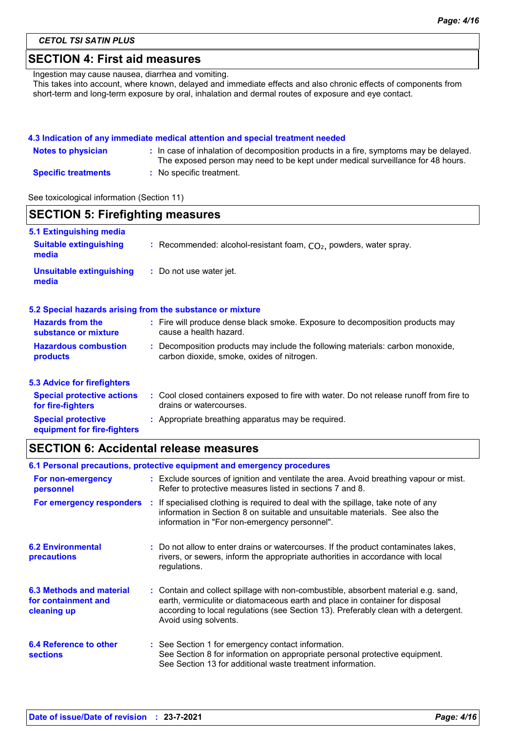*CETOL TSI SATIN PLUS*

### **SECTION 4: First aid measures**

Ingestion may cause nausea, diarrhea and vomiting.

This takes into account, where known, delayed and immediate effects and also chronic effects of components from short-term and long-term exposure by oral, inhalation and dermal routes of exposure and eye contact.

#### **4.3 Indication of any immediate medical attention and special treatment needed**

| <b>Notes to physician</b>  | : In case of inhalation of decomposition products in a fire, symptoms may be delayed.<br>The exposed person may need to be kept under medical surveillance for 48 hours. |
|----------------------------|--------------------------------------------------------------------------------------------------------------------------------------------------------------------------|
| <b>Specific treatments</b> | : No specific treatment.                                                                                                                                                 |

See toxicological information (Section 11)

|                                                                   | <b>SECTION 5: Firefighting measures</b>                                                                                      |  |  |  |  |
|-------------------------------------------------------------------|------------------------------------------------------------------------------------------------------------------------------|--|--|--|--|
| 5.1 Extinguishing media<br><b>Suitable extinguishing</b><br>media | : Recommended: alcohol-resistant foam, $CO2$ , powders, water spray.                                                         |  |  |  |  |
| <b>Unsuitable extinguishing</b><br>media                          | : Do not use water jet.                                                                                                      |  |  |  |  |
|                                                                   | 5.2 Special hazards arising from the substance or mixture                                                                    |  |  |  |  |
| <b>Hazards from the</b><br>substance or mixture                   | : Fire will produce dense black smoke. Exposure to decomposition products may<br>cause a health hazard.                      |  |  |  |  |
| <b>Hazardous combustion</b><br>products                           | : Decomposition products may include the following materials: carbon monoxide,<br>carbon dioxide, smoke, oxides of nitrogen. |  |  |  |  |
| <b>5.3 Advice for firefighters</b>                                |                                                                                                                              |  |  |  |  |
| <b>Special protective actions</b><br>for fire-fighters            | : Cool closed containers exposed to fire with water. Do not release runoff from fire to<br>drains or watercourses.           |  |  |  |  |
| <b>Special protective</b>                                         | : Appropriate breathing apparatus may be required.                                                                           |  |  |  |  |

**equipment for fire-fighters**

### **SECTION 6: Accidental release measures**

| 6.1 Personal precautions, protective equipment and emergency procedures |  |                                                                                                                                                                                                                                                                                    |  |
|-------------------------------------------------------------------------|--|------------------------------------------------------------------------------------------------------------------------------------------------------------------------------------------------------------------------------------------------------------------------------------|--|
| For non-emergency<br>personnel                                          |  | : Exclude sources of ignition and ventilate the area. Avoid breathing vapour or mist.<br>Refer to protective measures listed in sections 7 and 8.                                                                                                                                  |  |
| For emergency responders                                                |  | : If specialised clothing is required to deal with the spillage, take note of any<br>information in Section 8 on suitable and unsuitable materials. See also the<br>information in "For non-emergency personnel".                                                                  |  |
| <b>6.2 Environmental</b><br>precautions                                 |  | : Do not allow to enter drains or watercourses. If the product contaminates lakes,<br>rivers, or sewers, inform the appropriate authorities in accordance with local<br>regulations.                                                                                               |  |
| 6.3 Methods and material<br>for containment and<br>cleaning up          |  | : Contain and collect spillage with non-combustible, absorbent material e.g. sand,<br>earth, vermiculite or diatomaceous earth and place in container for disposal<br>according to local regulations (see Section 13). Preferably clean with a detergent.<br>Avoid using solvents. |  |
| 6.4 Reference to other<br><b>sections</b>                               |  | : See Section 1 for emergency contact information.<br>See Section 8 for information on appropriate personal protective equipment.<br>See Section 13 for additional waste treatment information.                                                                                    |  |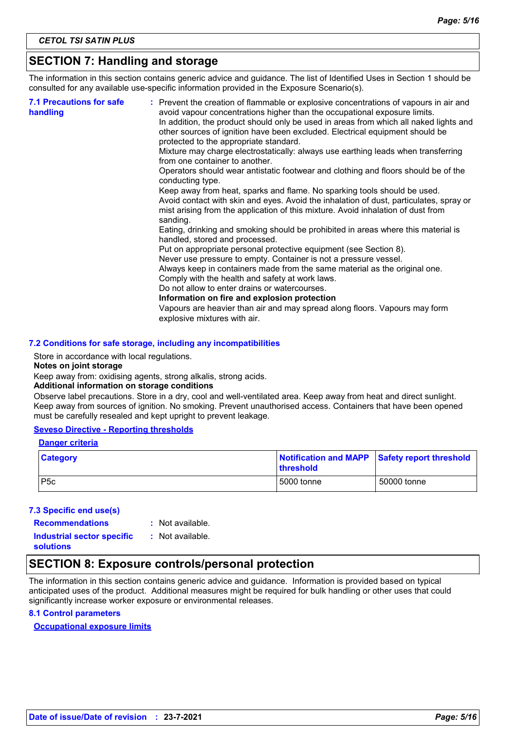## **SECTION 7: Handling and storage**

The information in this section contains generic advice and guidance. The list of Identified Uses in Section 1 should be consulted for any available use-specific information provided in the Exposure Scenario(s).

| <b>7.1 Precautions for safe</b><br>handling | : Prevent the creation of flammable or explosive concentrations of vapours in air and<br>avoid vapour concentrations higher than the occupational exposure limits.<br>In addition, the product should only be used in areas from which all naked lights and<br>other sources of ignition have been excluded. Electrical equipment should be<br>protected to the appropriate standard.<br>Mixture may charge electrostatically: always use earthing leads when transferring<br>from one container to another.<br>Operators should wear antistatic footwear and clothing and floors should be of the<br>conducting type.<br>Keep away from heat, sparks and flame. No sparking tools should be used.<br>Avoid contact with skin and eyes. Avoid the inhalation of dust, particulates, spray or<br>mist arising from the application of this mixture. Avoid inhalation of dust from<br>sanding.<br>Eating, drinking and smoking should be prohibited in areas where this material is<br>handled, stored and processed.<br>Put on appropriate personal protective equipment (see Section 8).<br>Never use pressure to empty. Container is not a pressure vessel.<br>Always keep in containers made from the same material as the original one.<br>Comply with the health and safety at work laws.<br>Do not allow to enter drains or watercourses.<br>Information on fire and explosion protection<br>Vapours are heavier than air and may spread along floors. Vapours may form<br>explosive mixtures with air. |
|---------------------------------------------|--------------------------------------------------------------------------------------------------------------------------------------------------------------------------------------------------------------------------------------------------------------------------------------------------------------------------------------------------------------------------------------------------------------------------------------------------------------------------------------------------------------------------------------------------------------------------------------------------------------------------------------------------------------------------------------------------------------------------------------------------------------------------------------------------------------------------------------------------------------------------------------------------------------------------------------------------------------------------------------------------------------------------------------------------------------------------------------------------------------------------------------------------------------------------------------------------------------------------------------------------------------------------------------------------------------------------------------------------------------------------------------------------------------------------------------------------------------------------------------------------------------|
|---------------------------------------------|--------------------------------------------------------------------------------------------------------------------------------------------------------------------------------------------------------------------------------------------------------------------------------------------------------------------------------------------------------------------------------------------------------------------------------------------------------------------------------------------------------------------------------------------------------------------------------------------------------------------------------------------------------------------------------------------------------------------------------------------------------------------------------------------------------------------------------------------------------------------------------------------------------------------------------------------------------------------------------------------------------------------------------------------------------------------------------------------------------------------------------------------------------------------------------------------------------------------------------------------------------------------------------------------------------------------------------------------------------------------------------------------------------------------------------------------------------------------------------------------------------------|

#### **7.2 Conditions for safe storage, including any incompatibilities**

Store in accordance with local regulations.

#### **Notes on joint storage**

Keep away from: oxidising agents, strong alkalis, strong acids.

#### **Additional information on storage conditions**

Observe label precautions. Store in a dry, cool and well-ventilated area. Keep away from heat and direct sunlight. Keep away from sources of ignition. No smoking. Prevent unauthorised access. Containers that have been opened must be carefully resealed and kept upright to prevent leakage.

#### **Seveso Directive - Reporting thresholds**

#### **Danger criteria**

| <b>Category</b>  | Notification and MAPP Safety report threshold<br><b>Ithreshold</b> |             |
|------------------|--------------------------------------------------------------------|-------------|
| P <sub>5</sub> c | 5000 tonne                                                         | 50000 tonne |

#### **7.3 Specific end use(s)**

**Recommendations :**

```
: Not available.
```
**Industrial sector specific : solutions** : Not available.

## **SECTION 8: Exposure controls/personal protection**

The information in this section contains generic advice and guidance. Information is provided based on typical anticipated uses of the product. Additional measures might be required for bulk handling or other uses that could significantly increase worker exposure or environmental releases.

#### **8.1 Control parameters**

#### **Occupational exposure limits**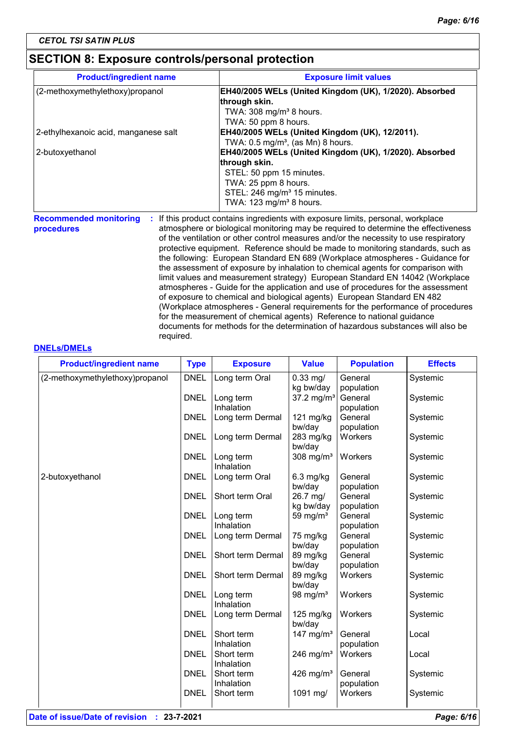## **SECTION 8: Exposure controls/personal protection**

| <b>Product/ingredient name</b>       | <b>Exposure limit values</b>                                                                                 |
|--------------------------------------|--------------------------------------------------------------------------------------------------------------|
| (2-methoxymethylethoxy)propanol      | EH40/2005 WELs (United Kingdom (UK), 1/2020). Absorbed                                                       |
|                                      | through skin.                                                                                                |
|                                      | TWA: 308 mg/m <sup>3</sup> 8 hours.                                                                          |
|                                      | TWA: 50 ppm 8 hours.                                                                                         |
| 2-ethylhexanoic acid, manganese salt | EH40/2005 WELs (United Kingdom (UK), 12/2011).                                                               |
|                                      | TWA: $0.5 \text{ mg/m}^3$ , (as Mn) 8 hours.                                                                 |
| 2-butoxyethanol                      | EH40/2005 WELs (United Kingdom (UK), 1/2020). Absorbed                                                       |
|                                      | through skin.                                                                                                |
|                                      | STEL: 50 ppm 15 minutes.                                                                                     |
|                                      | TWA: 25 ppm 8 hours.                                                                                         |
|                                      | STEL: 246 mg/m <sup>3</sup> 15 minutes.                                                                      |
|                                      | TWA: 123 mg/m <sup>3</sup> 8 hours.                                                                          |
|                                      | <b>Becommonded monitoring</b> . If this product contains ingradiants with expecure limite personal workplace |

**Recommended monitoring procedures**

**:** If this product contains ingredients with exposure limits, personal, workplace atmosphere or biological monitoring may be required to determine the effectiveness of the ventilation or other control measures and/or the necessity to use respiratory protective equipment. Reference should be made to monitoring standards, such as the following: European Standard EN 689 (Workplace atmospheres - Guidance for the assessment of exposure by inhalation to chemical agents for comparison with limit values and measurement strategy) European Standard EN 14042 (Workplace atmospheres - Guide for the application and use of procedures for the assessment of exposure to chemical and biological agents) European Standard EN 482 (Workplace atmospheres - General requirements for the performance of procedures for the measurement of chemical agents) Reference to national guidance documents for methods for the determination of hazardous substances will also be required.

#### **DNELs/DMELs**

| <b>Product/ingredient name</b>  | <b>Type</b> | <b>Exposure</b>         | <b>Value</b>           | <b>Population</b> | <b>Effects</b> |
|---------------------------------|-------------|-------------------------|------------------------|-------------------|----------------|
| (2-methoxymethylethoxy)propanol | <b>DNEL</b> | Long term Oral          | $0.33$ mg/             | General           | Systemic       |
|                                 |             |                         | kg bw/day              | population        |                |
|                                 | <b>DNEL</b> | Long term               | 37.2 mg/m <sup>3</sup> | General           | Systemic       |
|                                 |             | Inhalation              |                        | population        |                |
|                                 | <b>DNEL</b> | Long term Dermal        | $121$ mg/kg            | General           | Systemic       |
|                                 |             |                         | bw/day                 | population        |                |
|                                 | <b>DNEL</b> | Long term Dermal        | 283 mg/kg<br>bw/day    | Workers           | Systemic       |
|                                 | <b>DNEL</b> | Long term<br>Inhalation | 308 mg/ $m3$           | Workers           | Systemic       |
| 2-butoxyethanol                 | <b>DNEL</b> | Long term Oral          | $6.3$ mg/kg            | General           | Systemic       |
|                                 |             |                         | bw/day                 | population        |                |
|                                 | <b>DNEL</b> | Short term Oral         | 26.7 mg/               | General           | Systemic       |
|                                 |             |                         | kg bw/day              | population        |                |
|                                 | <b>DNEL</b> | Long term               | 59 mg/ $m3$            | General           | Systemic       |
|                                 |             | Inhalation              |                        | population        |                |
|                                 | <b>DNEL</b> | Long term Dermal        | 75 mg/kg               | General           | Systemic       |
|                                 |             |                         | bw/day                 | population        |                |
|                                 | <b>DNEL</b> | Short term Dermal       | 89 mg/kg               | General           | Systemic       |
|                                 |             |                         | bw/day                 | population        |                |
|                                 | <b>DNEL</b> | Short term Dermal       | 89 mg/kg<br>bw/day     | Workers           | Systemic       |
|                                 | <b>DNEL</b> | Long term<br>Inhalation | 98 mg/ $m3$            | Workers           | Systemic       |
|                                 | <b>DNEL</b> | Long term Dermal        | $125$ mg/kg<br>bw/day  | Workers           | Systemic       |
|                                 | <b>DNEL</b> | Short term              | 147 mg/m <sup>3</sup>  | General           | Local          |
|                                 |             | Inhalation              |                        | population        |                |
|                                 | <b>DNEL</b> | Short term              | 246 mg/m <sup>3</sup>  | Workers           | Local          |
|                                 |             | Inhalation              |                        |                   |                |
|                                 | <b>DNEL</b> | Short term              | 426 mg/ $m3$           | General           | Systemic       |
|                                 |             | Inhalation              |                        | population        |                |
|                                 | <b>DNEL</b> | Short term              | 1091 mg/               | Workers           | Systemic       |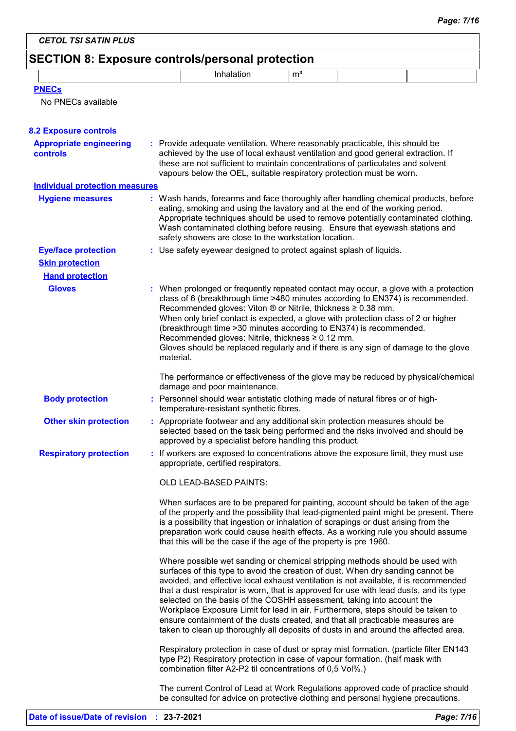## **SECTION 8: Exposure controls/personal protection**

|  | m <sup>3</sup> |  |
|--|----------------|--|
|  |                |  |

|  | No PNECs available |  |
|--|--------------------|--|
|  |                    |  |

| <b>8.2 Exposure controls</b>                      |                                                                                                                                                                                                                                                                                                                                                                                                                                                                                                                                                                                                                                                                                         |
|---------------------------------------------------|-----------------------------------------------------------------------------------------------------------------------------------------------------------------------------------------------------------------------------------------------------------------------------------------------------------------------------------------------------------------------------------------------------------------------------------------------------------------------------------------------------------------------------------------------------------------------------------------------------------------------------------------------------------------------------------------|
| <b>Appropriate engineering</b><br><b>controls</b> | : Provide adequate ventilation. Where reasonably practicable, this should be<br>achieved by the use of local exhaust ventilation and good general extraction. If<br>these are not sufficient to maintain concentrations of particulates and solvent<br>vapours below the OEL, suitable respiratory protection must be worn.                                                                                                                                                                                                                                                                                                                                                             |
| <b>Individual protection measures</b>             |                                                                                                                                                                                                                                                                                                                                                                                                                                                                                                                                                                                                                                                                                         |
| <b>Hygiene measures</b>                           | : Wash hands, forearms and face thoroughly after handling chemical products, before<br>eating, smoking and using the lavatory and at the end of the working period.<br>Appropriate techniques should be used to remove potentially contaminated clothing.<br>Wash contaminated clothing before reusing. Ensure that eyewash stations and<br>safety showers are close to the workstation location.                                                                                                                                                                                                                                                                                       |
| <b>Eye/face protection</b>                        | : Use safety eyewear designed to protect against splash of liquids.                                                                                                                                                                                                                                                                                                                                                                                                                                                                                                                                                                                                                     |
| <b>Skin protection</b>                            |                                                                                                                                                                                                                                                                                                                                                                                                                                                                                                                                                                                                                                                                                         |
| <b>Hand protection</b>                            |                                                                                                                                                                                                                                                                                                                                                                                                                                                                                                                                                                                                                                                                                         |
| <b>Gloves</b>                                     | : When prolonged or frequently repeated contact may occur, a glove with a protection<br>class of 6 (breakthrough time >480 minutes according to EN374) is recommended.<br>Recommended gloves: Viton ® or Nitrile, thickness ≥ 0.38 mm.<br>When only brief contact is expected, a glove with protection class of 2 or higher<br>(breakthrough time > 30 minutes according to EN374) is recommended.<br>Recommended gloves: Nitrile, thickness ≥ 0.12 mm.<br>Gloves should be replaced regularly and if there is any sign of damage to the glove<br>material.                                                                                                                             |
|                                                   | The performance or effectiveness of the glove may be reduced by physical/chemical<br>damage and poor maintenance.                                                                                                                                                                                                                                                                                                                                                                                                                                                                                                                                                                       |
| <b>Body protection</b>                            | : Personnel should wear antistatic clothing made of natural fibres or of high-<br>temperature-resistant synthetic fibres.                                                                                                                                                                                                                                                                                                                                                                                                                                                                                                                                                               |
| <b>Other skin protection</b>                      | : Appropriate footwear and any additional skin protection measures should be<br>selected based on the task being performed and the risks involved and should be<br>approved by a specialist before handling this product.                                                                                                                                                                                                                                                                                                                                                                                                                                                               |
| <b>Respiratory protection</b>                     | : If workers are exposed to concentrations above the exposure limit, they must use<br>appropriate, certified respirators.                                                                                                                                                                                                                                                                                                                                                                                                                                                                                                                                                               |
|                                                   | OLD LEAD-BASED PAINTS:                                                                                                                                                                                                                                                                                                                                                                                                                                                                                                                                                                                                                                                                  |
|                                                   | When surfaces are to be prepared for painting, account should be taken of the age<br>of the property and the possibility that lead-pigmented paint might be present. There<br>is a possibility that ingestion or inhalation of scrapings or dust arising from the<br>preparation work could cause health effects. As a working rule you should assume<br>that this will be the case if the age of the property is pre 1960.                                                                                                                                                                                                                                                             |
|                                                   | Where possible wet sanding or chemical stripping methods should be used with<br>surfaces of this type to avoid the creation of dust. When dry sanding cannot be<br>avoided, and effective local exhaust ventilation is not available, it is recommended<br>that a dust respirator is worn, that is approved for use with lead dusts, and its type<br>selected on the basis of the COSHH assessment, taking into account the<br>Workplace Exposure Limit for lead in air. Furthermore, steps should be taken to<br>ensure containment of the dusts created, and that all practicable measures are<br>taken to clean up thoroughly all deposits of dusts in and around the affected area. |
|                                                   | Respiratory protection in case of dust or spray mist formation. (particle filter EN143<br>type P2) Respiratory protection in case of vapour formation. (half mask with<br>combination filter A2-P2 til concentrations of 0,5 Vol%.)                                                                                                                                                                                                                                                                                                                                                                                                                                                     |
|                                                   | The current Control of Lead at Work Regulations approved code of practice should<br>be consulted for advice on protective clothing and personal hygiene precautions.                                                                                                                                                                                                                                                                                                                                                                                                                                                                                                                    |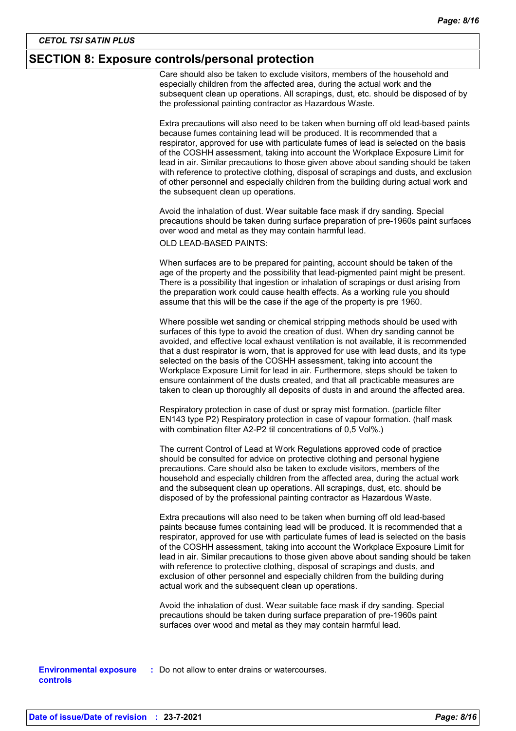#### **SECTION 8: Exposure controls/personal protection**

Care should also be taken to exclude visitors, members of the household and especially children from the affected area, during the actual work and the subsequent clean up operations. All scrapings, dust, etc. should be disposed of by the professional painting contractor as Hazardous Waste.

Extra precautions will also need to be taken when burning off old lead-based paints because fumes containing lead will be produced. It is recommended that a respirator, approved for use with particulate fumes of lead is selected on the basis of the COSHH assessment, taking into account the Workplace Exposure Limit for lead in air. Similar precautions to those given above about sanding should be taken with reference to protective clothing, disposal of scrapings and dusts, and exclusion of other personnel and especially children from the building during actual work and the subsequent clean up operations.

Avoid the inhalation of dust. Wear suitable face mask if dry sanding. Special precautions should be taken during surface preparation of pre-1960s paint surfaces over wood and metal as they may contain harmful lead.

OLD LEAD-BASED PAINTS:

When surfaces are to be prepared for painting, account should be taken of the age of the property and the possibility that lead-pigmented paint might be present. There is a possibility that ingestion or inhalation of scrapings or dust arising from the preparation work could cause health effects. As a working rule you should assume that this will be the case if the age of the property is pre 1960.

Where possible wet sanding or chemical stripping methods should be used with surfaces of this type to avoid the creation of dust. When dry sanding cannot be avoided, and effective local exhaust ventilation is not available, it is recommended that a dust respirator is worn, that is approved for use with lead dusts, and its type selected on the basis of the COSHH assessment, taking into account the Workplace Exposure Limit for lead in air. Furthermore, steps should be taken to ensure containment of the dusts created, and that all practicable measures are taken to clean up thoroughly all deposits of dusts in and around the affected area.

Respiratory protection in case of dust or spray mist formation. (particle filter EN143 type P2) Respiratory protection in case of vapour formation. (half mask with combination filter A2-P2 til concentrations of 0,5 Vol%.)

The current Control of Lead at Work Regulations approved code of practice should be consulted for advice on protective clothing and personal hygiene precautions. Care should also be taken to exclude visitors, members of the household and especially children from the affected area, during the actual work and the subsequent clean up operations. All scrapings, dust, etc. should be disposed of by the professional painting contractor as Hazardous Waste.

Extra precautions will also need to be taken when burning off old lead-based paints because fumes containing lead will be produced. It is recommended that a respirator, approved for use with particulate fumes of lead is selected on the basis of the COSHH assessment, taking into account the Workplace Exposure Limit for lead in air. Similar precautions to those given above about sanding should be taken with reference to protective clothing, disposal of scrapings and dusts, and exclusion of other personnel and especially children from the building during actual work and the subsequent clean up operations.

Avoid the inhalation of dust. Wear suitable face mask if dry sanding. Special precautions should be taken during surface preparation of pre-1960s paint surfaces over wood and metal as they may contain harmful lead.

**Environmental exposure : Do not allow to enter drains or watercourses. controls**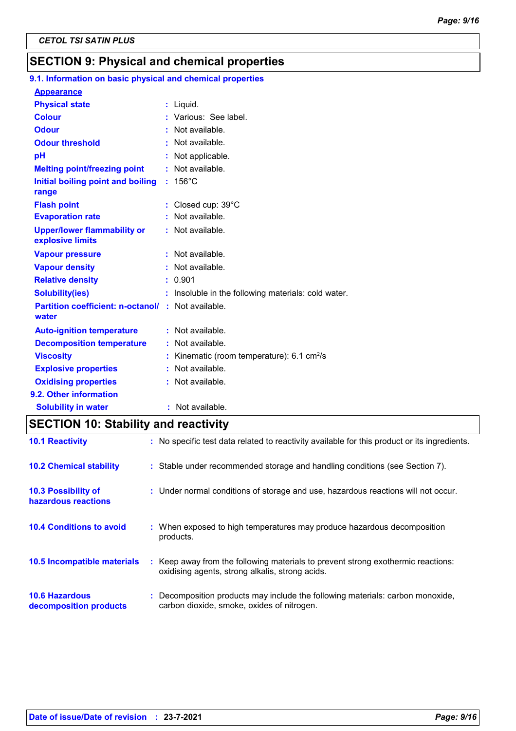## **SECTION 9: Physical and chemical properties**

## **9.1. Information on basic physical and chemical properties**

| <b>Appearance</b>                                      |                                                           |
|--------------------------------------------------------|-----------------------------------------------------------|
| <b>Physical state</b>                                  | $:$ Liquid.                                               |
| <b>Colour</b>                                          | Various: See label.                                       |
| <b>Odour</b>                                           | : Not available.                                          |
| <b>Odour threshold</b>                                 | : Not available.                                          |
| pH                                                     | : Not applicable.                                         |
| <b>Melting point/freezing point</b>                    | : Not available.                                          |
| Initial boiling point and boiling                      | $: 156^{\circ}$ C                                         |
| range                                                  |                                                           |
| <b>Flash point</b>                                     | : Closed cup: 39°C                                        |
| <b>Evaporation rate</b>                                | : Not available.                                          |
| <b>Upper/lower flammability or</b><br>explosive limits | : Not available.                                          |
| <b>Vapour pressure</b>                                 | : Not available.                                          |
| <b>Vapour density</b>                                  | : Not available.                                          |
| <b>Relative density</b>                                | : 0.901                                                   |
| <b>Solubility(ies)</b>                                 | : Insoluble in the following materials: cold water.       |
| <b>Partition coefficient: n-octanol/</b><br>water      | : Not available.                                          |
| <b>Auto-ignition temperature</b>                       | : Not available.                                          |
| <b>Decomposition temperature</b>                       | $:$ Not available.                                        |
| <b>Viscosity</b>                                       | Kinematic (room temperature): $6.1 \text{ cm}^2/\text{s}$ |
| <b>Explosive properties</b>                            | Not available.                                            |
| <b>Oxidising properties</b>                            | : Not available.                                          |
| 9.2. Other information                                 |                                                           |
| <b>Solubility in water</b>                             | : Not available.                                          |

## **SECTION 10: Stability and reactivity**

| <b>10.1 Reactivity</b>                            | : No specific test data related to reactivity available for this product or its ingredients.                                        |
|---------------------------------------------------|-------------------------------------------------------------------------------------------------------------------------------------|
| <b>10.2 Chemical stability</b>                    | : Stable under recommended storage and handling conditions (see Section 7).                                                         |
| <b>10.3 Possibility of</b><br>hazardous reactions | : Under normal conditions of storage and use, hazardous reactions will not occur.                                                   |
| <b>10.4 Conditions to avoid</b>                   | : When exposed to high temperatures may produce hazardous decomposition<br>products.                                                |
| 10.5 Incompatible materials                       | : Keep away from the following materials to prevent strong exothermic reactions:<br>oxidising agents, strong alkalis, strong acids. |
| <b>10.6 Hazardous</b><br>decomposition products   | : Decomposition products may include the following materials: carbon monoxide,<br>carbon dioxide, smoke, oxides of nitrogen.        |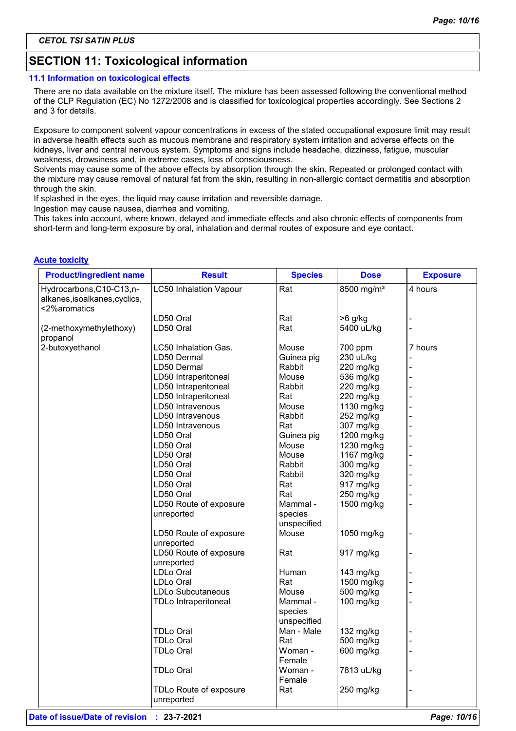## **SECTION 11: Toxicological information**

#### **11.1 Information on toxicological effects**

There are no data available on the mixture itself. The mixture has been assessed following the conventional method of the CLP Regulation (EC) No 1272/2008 and is classified for toxicological properties accordingly. See Sections 2 and 3 for details.

Exposure to component solvent vapour concentrations in excess of the stated occupational exposure limit may result in adverse health effects such as mucous membrane and respiratory system irritation and adverse effects on the kidneys, liver and central nervous system. Symptoms and signs include headache, dizziness, fatigue, muscular weakness, drowsiness and, in extreme cases, loss of consciousness.

Solvents may cause some of the above effects by absorption through the skin. Repeated or prolonged contact with the mixture may cause removal of natural fat from the skin, resulting in non-allergic contact dermatitis and absorption through the skin.

If splashed in the eyes, the liquid may cause irritation and reversible damage.

Ingestion may cause nausea, diarrhea and vomiting.

This takes into account, where known, delayed and immediate effects and also chronic effects of components from short-term and long-term exposure by oral, inhalation and dermal routes of exposure and eye contact.

#### **Acute toxicity**

| <b>Product/ingredient name</b>                                             | <b>Result</b>                 | <b>Species</b> | <b>Dose</b>            | <b>Exposure</b> |
|----------------------------------------------------------------------------|-------------------------------|----------------|------------------------|-----------------|
| Hydrocarbons, C10-C13, n-<br>alkanes, isoalkanes, cyclics,<br><2%aromatics | <b>LC50 Inhalation Vapour</b> | Rat            | 8500 mg/m <sup>3</sup> | 4 hours         |
|                                                                            | LD50 Oral                     | Rat            | $>6$ g/kg              |                 |
| (2-methoxymethylethoxy)<br>propanol                                        | LD50 Oral                     | Rat            | 5400 uL/kg             |                 |
| 2-butoxyethanol                                                            | LC50 Inhalation Gas.          | Mouse          | 700 ppm                | 7 hours         |
|                                                                            | LD50 Dermal                   | Guinea pig     | 230 uL/kg              |                 |
|                                                                            | LD50 Dermal                   | Rabbit         | 220 mg/kg              |                 |
|                                                                            | LD50 Intraperitoneal          | Mouse          | 536 mg/kg              |                 |
|                                                                            | LD50 Intraperitoneal          | Rabbit         | 220 mg/kg              |                 |
|                                                                            | LD50 Intraperitoneal          | Rat            | 220 mg/kg              |                 |
|                                                                            | LD50 Intravenous              | Mouse          | 1130 mg/kg             |                 |
|                                                                            | LD50 Intravenous              | Rabbit         | 252 mg/kg              |                 |
|                                                                            | LD50 Intravenous              | Rat            | 307 mg/kg              |                 |
|                                                                            | LD50 Oral                     | Guinea pig     | 1200 mg/kg             |                 |
|                                                                            | LD50 Oral                     | Mouse          | 1230 mg/kg             |                 |
|                                                                            | LD50 Oral                     | Mouse          | 1167 mg/kg             |                 |
|                                                                            | LD50 Oral                     | Rabbit         | 300 mg/kg              |                 |
|                                                                            | LD50 Oral                     | Rabbit         | 320 mg/kg              |                 |
|                                                                            | LD50 Oral                     | Rat            | 917 mg/kg              |                 |
|                                                                            | LD50 Oral                     | Rat            | 250 mg/kg              |                 |
|                                                                            | LD50 Route of exposure        | Mammal -       | 1500 mg/kg             |                 |
|                                                                            | unreported                    | species        |                        |                 |
|                                                                            |                               | unspecified    |                        |                 |
|                                                                            | LD50 Route of exposure        | Mouse          | 1050 mg/kg             |                 |
|                                                                            | unreported                    |                |                        |                 |
|                                                                            | LD50 Route of exposure        | Rat            | 917 mg/kg              |                 |
|                                                                            | unreported                    |                |                        |                 |
|                                                                            | LDLo Oral                     | Human          | 143 mg/kg              |                 |
|                                                                            | LDLo Oral                     | Rat            | 1500 mg/kg             |                 |
|                                                                            | <b>LDLo Subcutaneous</b>      | Mouse          | 500 mg/kg              |                 |
|                                                                            | <b>TDLo Intraperitoneal</b>   | Mammal -       | 100 mg/kg              |                 |
|                                                                            |                               | species        |                        |                 |
|                                                                            |                               | unspecified    |                        |                 |
|                                                                            | <b>TDLo Oral</b>              | Man - Male     | 132 mg/kg              |                 |
|                                                                            | <b>TDLo Oral</b>              | Rat            | 500 mg/kg              |                 |
|                                                                            | <b>TDLo Oral</b>              |                |                        |                 |
|                                                                            |                               | Woman -        | 600 mg/kg              |                 |
|                                                                            |                               | Female         |                        |                 |
|                                                                            | TDLo Oral                     | Woman -        | 7813 uL/kg             |                 |
|                                                                            |                               | Female         |                        |                 |
|                                                                            | TDLo Route of exposure        | Rat            | 250 mg/kg              |                 |
|                                                                            | unreported                    |                |                        |                 |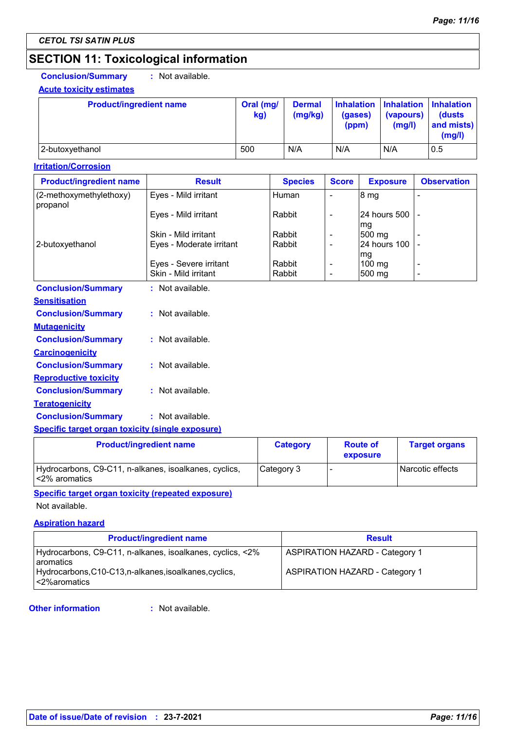## **SECTION 11: Toxicological information**

**Conclusion/Summary :** Not available.

#### **Acute toxicity estimates**

| <b>Product/ingredient name</b> | Oral (mg/<br>kg) | <b>Dermal</b><br>(mg/kg) | (gases)<br>(ppm) | (vapours)<br>(mg/l) | Inhalation Inhalation Inhalation<br>(dusts)<br>and mists)<br>(mg/l) |
|--------------------------------|------------------|--------------------------|------------------|---------------------|---------------------------------------------------------------------|
| 2-butoxyethanol                | 500              | N/A                      | N/A              | N/A                 | 0.5                                                                 |

#### **Irritation/Corrosion**

|                                     |                          | <b>Species</b> | <b>Score</b>             | <b>Exposure</b>          | <b>Observation</b> |
|-------------------------------------|--------------------------|----------------|--------------------------|--------------------------|--------------------|
| (2-methoxymethylethoxy)<br>propanol | Eyes - Mild irritant     | Human          | $\overline{\phantom{0}}$ | 8 mg                     |                    |
|                                     | Eyes - Mild irritant     | Rabbit         |                          | 124 hours 500 1 -<br>Ima |                    |
|                                     | Skin - Mild irritant     | Rabbit         |                          | $500$ mg                 |                    |
| 2-butoxyethanol                     | Eyes - Moderate irritant | Rabbit         |                          | 24 hours 100 L-<br>mg    |                    |
|                                     | Eyes - Severe irritant   | Rabbit         |                          | $100 \text{ ma}$         |                    |
|                                     | Skin - Mild irritant     | Rabbit         |                          | 500 mg                   | -                  |
| <b>Conclusion/Summary</b>           | : Not available.         |                |                          |                          |                    |

| <b>Sensitisation</b>         |                  |
|------------------------------|------------------|
| <b>Conclusion/Summary</b>    | : Not available. |
| <b>Mutagenicity</b>          |                  |
| <b>Conclusion/Summary</b>    | Not available.   |
| <b>Carcinogenicity</b>       |                  |
| <b>Conclusion/Summary</b>    | : Not available. |
| <b>Reproductive toxicity</b> |                  |
| <b>Conclusion/Summary</b>    | : Not available. |
| <b>Teratogenicity</b>        |                  |
| <b>Conclusion/Summary</b>    | : Not available. |
|                              |                  |

#### **Specific target organ toxicity (single exposure)**

| <b>Product/ingredient name</b>                                          | <b>Category</b> | <b>Route of</b><br>exposure | <b>Target organs</b> |
|-------------------------------------------------------------------------|-----------------|-----------------------------|----------------------|
| Hydrocarbons, C9-C11, n-alkanes, isoalkanes, cyclics,<br>l<2% aromatics | Category 3      |                             | l Narcotic effects   |

#### **Specific target organ toxicity (repeated exposure)**

Not available.

#### **Aspiration hazard**

| <b>Product/ingredient name</b>                                                                                                    | <b>Result</b>                                                                  |
|-----------------------------------------------------------------------------------------------------------------------------------|--------------------------------------------------------------------------------|
| Hydrocarbons, C9-C11, n-alkanes, isoalkanes, cyclics, <2%<br>Laromatics<br>Hydrocarbons, C10-C13, n-alkanes, isoalkanes, cyclics, | <b>ASPIRATION HAZARD - Category 1</b><br><b>ASPIRATION HAZARD - Category 1</b> |
| l<2%aromatics                                                                                                                     |                                                                                |

#### **Other information :**

: Not available.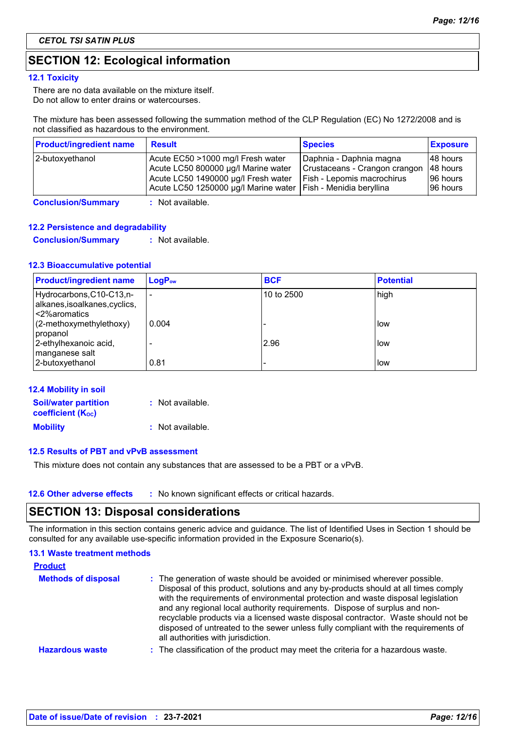## **SECTION 12: Ecological information**

#### **12.1 Toxicity**

There are no data available on the mixture itself. Do not allow to enter drains or watercourses.

The mixture has been assessed following the summation method of the CLP Regulation (EC) No 1272/2008 and is not classified as hazardous to the environment.

| <b>Product/ingredient name</b> | <b>Result</b>                                                                                                                                                                      | <b>Species</b>                                                                         | <b>Exposure</b>                                 |
|--------------------------------|------------------------------------------------------------------------------------------------------------------------------------------------------------------------------------|----------------------------------------------------------------------------------------|-------------------------------------------------|
| 2-butoxyethanol                | Acute EC50 >1000 mg/l Fresh water<br>Acute LC50 800000 µg/l Marine water<br>Acute LC50 1490000 µg/l Fresh water<br>Acute LC50 1250000 µg/l Marine water   Fish - Menidia beryllina | Daphnia - Daphnia magna<br>Crustaceans - Crangon crangon<br>Fish - Lepomis macrochirus | 148 hours<br>48 hours<br>196 hours<br>196 hours |

**Conclusion/Summary :** Not available.

#### **12.2 Persistence and degradability**

**Conclusion/Summary :** Not available.

#### **12.3 Bioaccumulative potential**

| <b>Product/ingredient name</b>                                            | $LogP_{ow}$ | <b>BCF</b> | <b>Potential</b> |
|---------------------------------------------------------------------------|-------------|------------|------------------|
| Hydrocarbons, C10-C13,n-<br>alkanes, isoalkanes, cyclics,<br><2%aromatics | ٠           | 10 to 2500 | high             |
| (2-methoxymethylethoxy)<br>propanol                                       | 0.004       |            | llow             |
| 2-ethylhexanoic acid,<br>manganese salt                                   |             | 2.96       | llow             |
| 2-butoxyethanol                                                           | 0.81        |            | llow             |

| <b>12.4 Mobility in soil</b>          |                  |
|---------------------------------------|------------------|
| <b>Soil/water partition</b>           | : Not available. |
| <b>coefficient</b> (K <sub>oc</sub> ) |                  |
| <b>Mobility</b>                       | : Not available. |

#### **12.5 Results of PBT and vPvB assessment**

This mixture does not contain any substances that are assessed to be a PBT or a vPvB.

| <b>12.6 Other adverse effects</b> | : No known significant effects or critical hazards. |
|-----------------------------------|-----------------------------------------------------|
|-----------------------------------|-----------------------------------------------------|

### **SECTION 13: Disposal considerations**

The information in this section contains generic advice and guidance. The list of Identified Uses in Section 1 should be consulted for any available use-specific information provided in the Exposure Scenario(s).

#### **13.1 Waste treatment methods**

| <b>Product</b>             |                                                                                                                                                                                                                                                                                                                                                                                                                                                                                                                                                      |
|----------------------------|------------------------------------------------------------------------------------------------------------------------------------------------------------------------------------------------------------------------------------------------------------------------------------------------------------------------------------------------------------------------------------------------------------------------------------------------------------------------------------------------------------------------------------------------------|
| <b>Methods of disposal</b> | : The generation of waste should be avoided or minimised wherever possible.<br>Disposal of this product, solutions and any by-products should at all times comply<br>with the requirements of environmental protection and waste disposal legislation<br>and any regional local authority requirements. Dispose of surplus and non-<br>recyclable products via a licensed waste disposal contractor. Waste should not be<br>disposed of untreated to the sewer unless fully compliant with the requirements of<br>all authorities with jurisdiction. |
| <b>Hazardous waste</b>     | : The classification of the product may meet the criteria for a hazardous waste.                                                                                                                                                                                                                                                                                                                                                                                                                                                                     |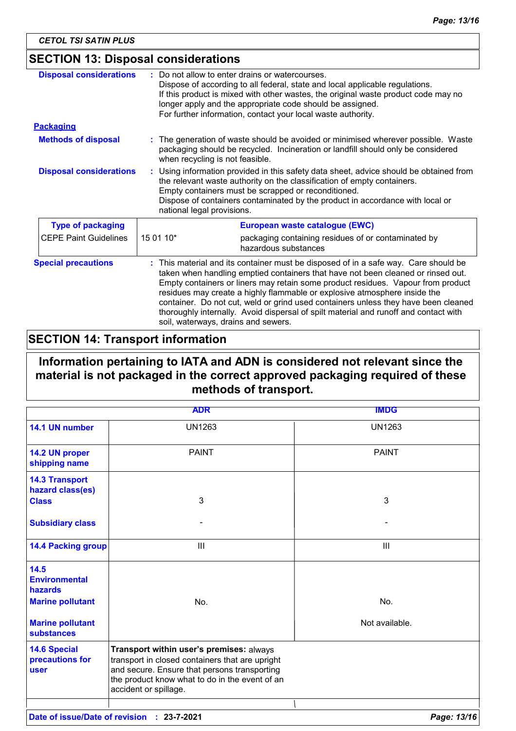## **SECTION 13: Disposal considerations**

| <b>Disposal considerations</b> | Do not allow to enter drains or watercourses.<br>Dispose of according to all federal, state and local applicable regulations.<br>If this product is mixed with other wastes, the original waste product code may no<br>longer apply and the appropriate code should be assigned.<br>For further information, contact your local waste authority.                                                                                                                                                                                                            |                                                     |
|--------------------------------|-------------------------------------------------------------------------------------------------------------------------------------------------------------------------------------------------------------------------------------------------------------------------------------------------------------------------------------------------------------------------------------------------------------------------------------------------------------------------------------------------------------------------------------------------------------|-----------------------------------------------------|
| <b>Packaging</b>               |                                                                                                                                                                                                                                                                                                                                                                                                                                                                                                                                                             |                                                     |
| <b>Methods of disposal</b>     | : The generation of waste should be avoided or minimised wherever possible. Waste<br>packaging should be recycled. Incineration or landfill should only be considered<br>when recycling is not feasible.                                                                                                                                                                                                                                                                                                                                                    |                                                     |
| <b>Disposal considerations</b> | Using information provided in this safety data sheet, advice should be obtained from<br>the relevant waste authority on the classification of empty containers.<br>Empty containers must be scrapped or reconditioned.<br>Dispose of containers contaminated by the product in accordance with local or<br>national legal provisions.                                                                                                                                                                                                                       |                                                     |
| <b>Type of packaging</b>       | European waste catalogue (EWC)                                                                                                                                                                                                                                                                                                                                                                                                                                                                                                                              |                                                     |
| <b>CEPE Paint Guidelines</b>   | 15 01 10*<br>hazardous substances                                                                                                                                                                                                                                                                                                                                                                                                                                                                                                                           | packaging containing residues of or contaminated by |
| <b>Special precautions</b>     | This material and its container must be disposed of in a safe way. Care should be<br>taken when handling emptied containers that have not been cleaned or rinsed out.<br>Empty containers or liners may retain some product residues. Vapour from product<br>residues may create a highly flammable or explosive atmosphere inside the<br>container. Do not cut, weld or grind used containers unless they have been cleaned<br>thoroughly internally. Avoid dispersal of spilt material and runoff and contact with<br>soil, waterways, drains and sewers. |                                                     |

## **SECTION 14: Transport information**

## **Information pertaining to IATA and ADN is considered not relevant since the material is not packaged in the correct approved packaging required of these methods of transport.**

|                                                       | <b>ADR</b>                                                                                                                                                                                                             | <b>IMDG</b>    |
|-------------------------------------------------------|------------------------------------------------------------------------------------------------------------------------------------------------------------------------------------------------------------------------|----------------|
| 14.1 UN number                                        | <b>UN1263</b>                                                                                                                                                                                                          | <b>UN1263</b>  |
| 14.2 UN proper<br>shipping name                       | <b>PAINT</b>                                                                                                                                                                                                           | <b>PAINT</b>   |
| <b>14.3 Transport</b><br>hazard class(es)             |                                                                                                                                                                                                                        |                |
| <b>Class</b>                                          | 3                                                                                                                                                                                                                      | 3              |
| <b>Subsidiary class</b>                               |                                                                                                                                                                                                                        |                |
| <b>14.4 Packing group</b>                             | Ш                                                                                                                                                                                                                      | Ш              |
| 14.5<br><b>Environmental</b><br>hazards               |                                                                                                                                                                                                                        |                |
| <b>Marine pollutant</b>                               | No.                                                                                                                                                                                                                    | No.            |
| <b>Marine pollutant</b><br><b>substances</b>          |                                                                                                                                                                                                                        | Not available. |
| <b>14.6 Special</b><br>precautions for<br><b>user</b> | Transport within user's premises: always<br>transport in closed containers that are upright<br>and secure. Ensure that persons transporting<br>the product know what to do in the event of an<br>accident or spillage. |                |
|                                                       |                                                                                                                                                                                                                        |                |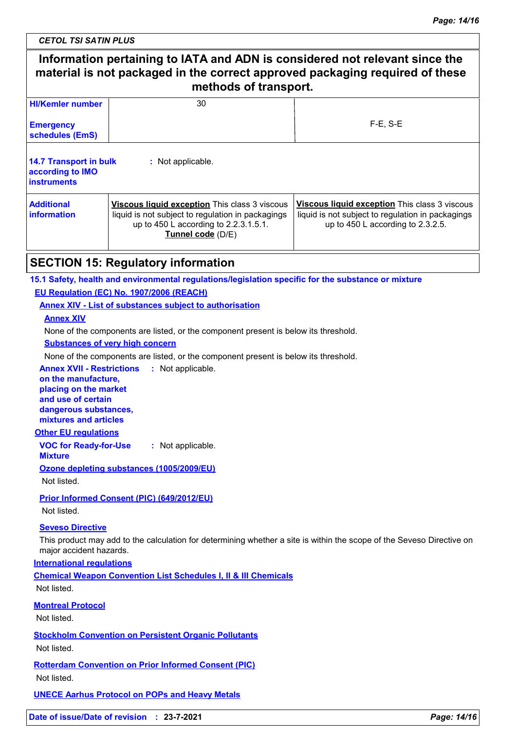*CETOL TSI SATIN PLUS*

| Information pertaining to IATA and ADN is considered not relevant since the<br>material is not packaged in the correct approved packaging required of these<br>methods of transport. |                                                                                                                                                                                                                                                                                                                |             |  |
|--------------------------------------------------------------------------------------------------------------------------------------------------------------------------------------|----------------------------------------------------------------------------------------------------------------------------------------------------------------------------------------------------------------------------------------------------------------------------------------------------------------|-------------|--|
| <b>HI/Kemler number</b>                                                                                                                                                              | 30                                                                                                                                                                                                                                                                                                             |             |  |
| <b>Emergency</b><br>schedules (EmS)                                                                                                                                                  |                                                                                                                                                                                                                                                                                                                | $F-E$ , S-E |  |
| <b>14.7 Transport in bulk</b><br>according to IMO<br><b>instruments</b>                                                                                                              | : Not applicable.                                                                                                                                                                                                                                                                                              |             |  |
| <b>Additional</b><br><b>information</b>                                                                                                                                              | Viscous liquid exception This class 3 viscous<br>Viscous liquid exception This class 3 viscous<br>liquid is not subject to regulation in packagings<br>liquid is not subject to regulation in packagings<br>up to 450 L according to $2.3.2.5$ .<br>up to 450 L according to 2.2.3.1.5.1.<br>Tunnel code (D/E) |             |  |
|                                                                                                                                                                                      | <b>SECTION 15: Regulatory information</b>                                                                                                                                                                                                                                                                      |             |  |
|                                                                                                                                                                                      | 15.1 Safety, health and environmental regulations/legislation specific for the substance or mixture                                                                                                                                                                                                            |             |  |
|                                                                                                                                                                                      | EU Regulation (EC) No. 1907/2006 (REACH)                                                                                                                                                                                                                                                                       |             |  |
|                                                                                                                                                                                      | <b>Annex XIV - List of substances subject to authorisation</b>                                                                                                                                                                                                                                                 |             |  |
| <b>Annex XIV</b>                                                                                                                                                                     |                                                                                                                                                                                                                                                                                                                |             |  |
|                                                                                                                                                                                      | None of the components are listed, or the component present is below its threshold.                                                                                                                                                                                                                            |             |  |
|                                                                                                                                                                                      | <b>Substances of very high concern</b>                                                                                                                                                                                                                                                                         |             |  |
|                                                                                                                                                                                      | None of the components are listed, or the component present is below its threshold.                                                                                                                                                                                                                            |             |  |
| <b>Annex XVII - Restrictions</b>                                                                                                                                                     | : Not applicable.                                                                                                                                                                                                                                                                                              |             |  |
| on the manufacture,<br>placing on the market                                                                                                                                         |                                                                                                                                                                                                                                                                                                                |             |  |
| and use of certain                                                                                                                                                                   |                                                                                                                                                                                                                                                                                                                |             |  |
| dangerous substances,                                                                                                                                                                |                                                                                                                                                                                                                                                                                                                |             |  |
| mixtures and articles                                                                                                                                                                |                                                                                                                                                                                                                                                                                                                |             |  |
| <b>Other EU regulations</b>                                                                                                                                                          |                                                                                                                                                                                                                                                                                                                |             |  |
| <b>VOC for Ready-for-Use</b><br><b>Mixture</b>                                                                                                                                       | : Not applicable.                                                                                                                                                                                                                                                                                              |             |  |
|                                                                                                                                                                                      | Ozone depleting substances (1005/2009/EU)                                                                                                                                                                                                                                                                      |             |  |
| Not listed.                                                                                                                                                                          |                                                                                                                                                                                                                                                                                                                |             |  |
| Not listed.                                                                                                                                                                          | Prior Informed Consent (PIC) (649/2012/EU)                                                                                                                                                                                                                                                                     |             |  |
| <b>Seveso Directive</b>                                                                                                                                                              |                                                                                                                                                                                                                                                                                                                |             |  |
| major accident hazards.                                                                                                                                                              | This product may add to the calculation for determining whether a site is within the scope of the Seveso Directive on                                                                                                                                                                                          |             |  |
| <b>International regulations</b>                                                                                                                                                     |                                                                                                                                                                                                                                                                                                                |             |  |
| Not listed.                                                                                                                                                                          | <b>Chemical Weapon Convention List Schedules I, II &amp; III Chemicals</b>                                                                                                                                                                                                                                     |             |  |
| <b>Montreal Protocol</b>                                                                                                                                                             |                                                                                                                                                                                                                                                                                                                |             |  |
| Not listed.                                                                                                                                                                          |                                                                                                                                                                                                                                                                                                                |             |  |
| Not listed.                                                                                                                                                                          | <b>Stockholm Convention on Persistent Organic Pollutants</b>                                                                                                                                                                                                                                                   |             |  |
| Not listed.                                                                                                                                                                          | <b>Rotterdam Convention on Prior Informed Consent (PIC)</b>                                                                                                                                                                                                                                                    |             |  |
|                                                                                                                                                                                      | <b>UNECE Aarhus Protocol on POPs and Heavy Metals</b>                                                                                                                                                                                                                                                          |             |  |
|                                                                                                                                                                                      |                                                                                                                                                                                                                                                                                                                |             |  |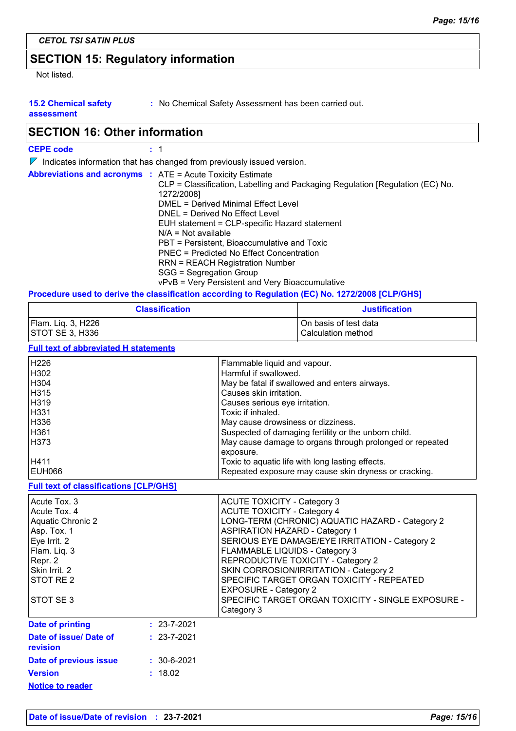## **SECTION 15: Regulatory information**

Not listed.

**15.2 Chemical safety** 

**:** No Chemical Safety Assessment has been carried out.

**assessment**

## **SECTION 16: Other information**

| <b>CEPE code</b> |
|------------------|
|------------------|

 $\nabla$  Indicates information that has changed from previously issued version.

| <b>Abbreviations and acronyms : ATE = Acute Toxicity Estimate</b><br>CLP = Classification, Labelling and Packaging Regulation [Regulation (EC) No.<br>1272/2008]<br>DMEL = Derived Minimal Effect Level<br>DNEL = Derived No Effect Level<br>EUH statement = CLP-specific Hazard statement<br>$N/A = Not available$ |
|---------------------------------------------------------------------------------------------------------------------------------------------------------------------------------------------------------------------------------------------------------------------------------------------------------------------|
|                                                                                                                                                                                                                                                                                                                     |
|                                                                                                                                                                                                                                                                                                                     |
| PBT = Persistent, Bioaccumulative and Toxic                                                                                                                                                                                                                                                                         |
| PNEC = Predicted No Effect Concentration                                                                                                                                                                                                                                                                            |
| RRN = REACH Registration Number                                                                                                                                                                                                                                                                                     |
| SGG = Segregation Group                                                                                                                                                                                                                                                                                             |
| vPvB = Very Persistent and Very Bioaccumulative                                                                                                                                                                                                                                                                     |

#### **Procedure used to derive the classification according to Regulation (EC) No. 1272/2008 [CLP/GHS]**

| <b>Classification</b> | <b>Justification</b>    |
|-----------------------|-------------------------|
| Flam. Liq. 3, H226    | l On basis of test data |
| STOT SE 3, H336       | Calculation method      |

**Full text of abbreviated H statements**

| Flammable liquid and vapour.                             |
|----------------------------------------------------------|
| Harmful if swallowed.                                    |
| May be fatal if swallowed and enters airways.            |
| Causes skin irritation.                                  |
| Causes serious eye irritation.                           |
| Toxic if inhaled.                                        |
| May cause drowsiness or dizziness.                       |
| Suspected of damaging fertility or the unborn child.     |
| May cause damage to organs through prolonged or repeated |
| exposure.                                                |
| Toxic to aquatic life with long lasting effects.         |
| Repeated exposure may cause skin dryness or cracking.    |
|                                                          |

**Full text of classifications [CLP/GHS]**

| Acute Tox, 3<br>Acute Tox, 4<br><b>Aquatic Chronic 2</b><br>Asp. Tox. 1<br>Eye Irrit. 2<br>Flam. Liq. 3<br>Repr. 2<br>Skin Irrit. 2<br>STOT RE 2<br>STOT SE 3 |                   | <b>ACUTE TOXICITY - Category 3</b><br><b>ACUTE TOXICITY - Category 4</b><br>LONG-TERM (CHRONIC) AQUATIC HAZARD - Category 2<br><b>ASPIRATION HAZARD - Category 1</b><br>SERIOUS EYE DAMAGE/EYE IRRITATION - Category 2<br>FLAMMABLE LIQUIDS - Category 3<br>REPRODUCTIVE TOXICITY - Category 2<br>SKIN CORROSION/IRRITATION - Category 2<br>SPECIFIC TARGET ORGAN TOXICITY - REPEATED<br><b>EXPOSURE - Category 2</b><br>SPECIFIC TARGET ORGAN TOXICITY - SINGLE EXPOSURE -<br>Category 3 |
|---------------------------------------------------------------------------------------------------------------------------------------------------------------|-------------------|-------------------------------------------------------------------------------------------------------------------------------------------------------------------------------------------------------------------------------------------------------------------------------------------------------------------------------------------------------------------------------------------------------------------------------------------------------------------------------------------|
| Date of printing                                                                                                                                              | $: 23 - 7 - 2021$ |                                                                                                                                                                                                                                                                                                                                                                                                                                                                                           |
| Date of issue/ Date of<br>revision                                                                                                                            | $: 23 - 7 - 2021$ |                                                                                                                                                                                                                                                                                                                                                                                                                                                                                           |
| Date of previous issue                                                                                                                                        | $: 30 - 6 - 2021$ |                                                                                                                                                                                                                                                                                                                                                                                                                                                                                           |
| <b>Version</b>                                                                                                                                                | : 18.02           |                                                                                                                                                                                                                                                                                                                                                                                                                                                                                           |
| <b>Notice to reader</b>                                                                                                                                       |                   |                                                                                                                                                                                                                                                                                                                                                                                                                                                                                           |